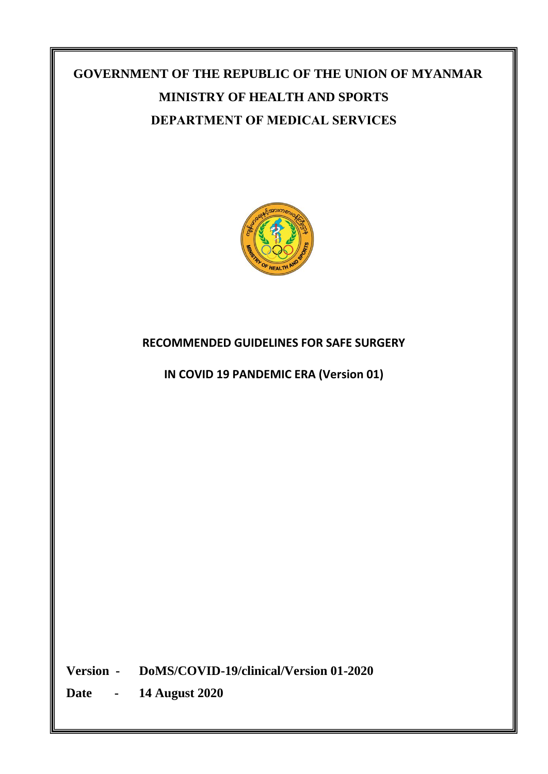# **GOVERNMENT OF THE REPUBLIC OF THE UNION OF MYANMAR MINISTRY OF HEALTH AND SPORTS DEPARTMENT OF MEDICAL SERVICES**



## **RECOMMENDED GUIDELINES FOR SAFE SURGERY**

**IN COVID 19 PANDEMIC ERA (Version 01)**

**Version - DoMS/COVID-19/clinical/Version 01-2020**

**Date - 14 August 2020**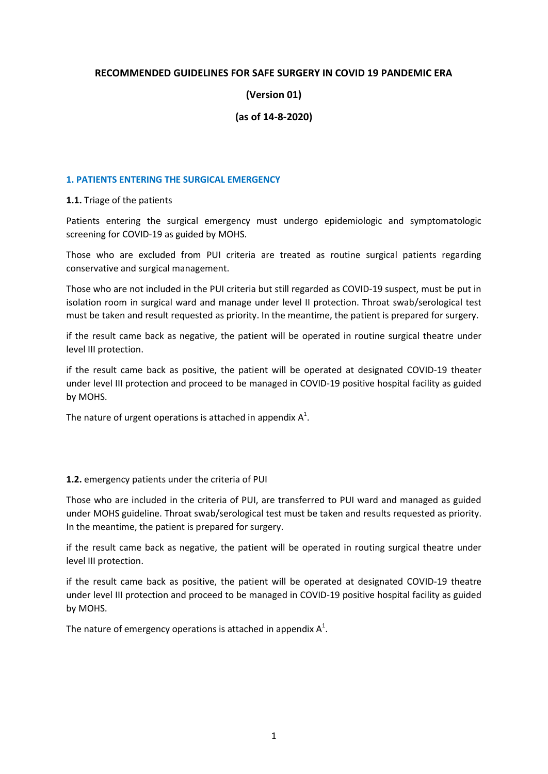#### **RECOMMENDED GUIDELINES FOR SAFE SURGERY IN COVID 19 PANDEMIC ERA**

#### **(Version 01)**

#### **(as of 14-8-2020)**

#### **1. PATIENTS ENTERING THE SURGICAL EMERGENCY**

**1.1.** Triage of the patients

Patients entering the surgical emergency must undergo epidemiologic and symptomatologic screening for COVID-19 as guided by MOHS.

Those who are excluded from PUI criteria are treated as routine surgical patients regarding conservative and surgical management.

Those who are not included in the PUI criteria but still regarded as COVID-19 suspect, must be put in isolation room in surgical ward and manage under level II protection. Throat swab/serological test must be taken and result requested as priority. In the meantime, the patient is prepared for surgery.

if the result came back as negative, the patient will be operated in routine surgical theatre under level III protection.

if the result came back as positive, the patient will be operated at designated COVID-19 theater under level III protection and proceed to be managed in COVID-19 positive hospital facility as guided by MOHS.

The nature of urgent operations is attached in appendix  $A^1$ .

#### **1.2.** emergency patients under the criteria of PUI

Those who are included in the criteria of PUI, are transferred to PUI ward and managed as guided under MOHS guideline. Throat swab/serological test must be taken and results requested as priority. In the meantime, the patient is prepared for surgery.

if the result came back as negative, the patient will be operated in routing surgical theatre under level III protection.

if the result came back as positive, the patient will be operated at designated COVID-19 theatre under level III protection and proceed to be managed in COVID-19 positive hospital facility as guided by MOHS.

The nature of emergency operations is attached in appendix  $A^1$ .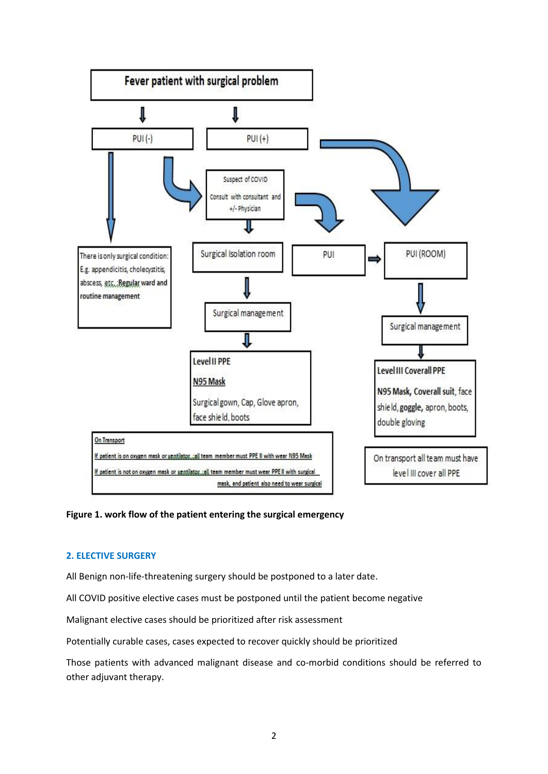

#### **Figure 1. work flow of the patient entering the surgical emergency**

#### **2. ELECTIVE SURGERY**

All Benign non-life-threatening surgery should be postponed to a later date.

All COVID positive elective cases must be postponed until the patient become negative

Malignant elective cases should be prioritized after risk assessment

Potentially curable cases, cases expected to recover quickly should be prioritized

Those patients with advanced malignant disease and co-morbid conditions should be referred to other adjuvant therapy.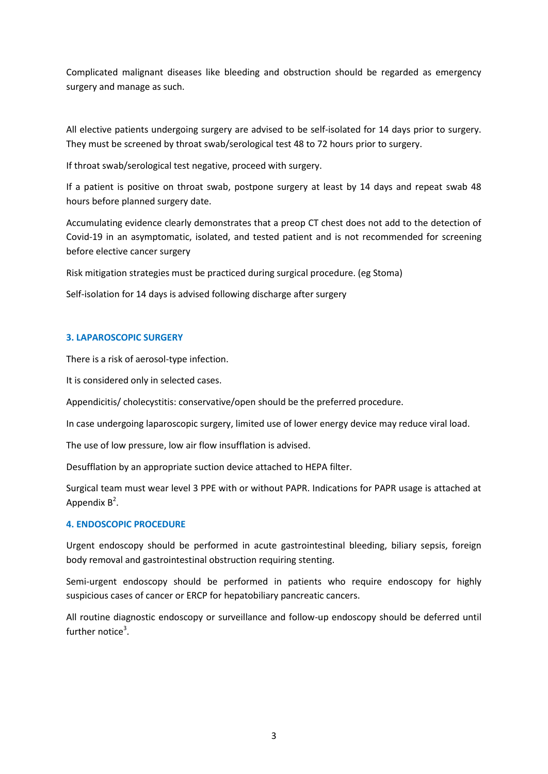Complicated malignant diseases like bleeding and obstruction should be regarded as emergency surgery and manage as such.

All elective patients undergoing surgery are advised to be self-isolated for 14 days prior to surgery. They must be screened by throat swab/serological test 48 to 72 hours prior to surgery.

If throat swab/serological test negative, proceed with surgery.

If a patient is positive on throat swab, postpone surgery at least by 14 days and repeat swab 48 hours before planned surgery date.

Accumulating evidence clearly demonstrates that a preop CT chest does not add to the detection of Covid-19 in an asymptomatic, isolated, and tested patient and is not recommended for screening before elective cancer surgery

Risk mitigation strategies must be practiced during surgical procedure. (eg Stoma)

Self-isolation for 14 days is advised following discharge after surgery

#### **3. LAPAROSCOPIC SURGERY**

There is a risk of aerosol-type infection.

It is considered only in selected cases.

Appendicitis/ cholecystitis: conservative/open should be the preferred procedure.

In case undergoing laparoscopic surgery, limited use of lower energy device may reduce viral load.

The use of low pressure, low air flow insufflation is advised.

Desufflation by an appropriate suction device attached to HEPA filter.

Surgical team must wear level 3 PPE with or without PAPR. Indications for PAPR usage is attached at Appendix  $B^2$ .

#### **4. ENDOSCOPIC PROCEDURE**

Urgent endoscopy should be performed in acute gastrointestinal bleeding, biliary sepsis, foreign body removal and gastrointestinal obstruction requiring stenting.

Semi-urgent endoscopy should be performed in patients who require endoscopy for highly suspicious cases of cancer or ERCP for hepatobiliary pancreatic cancers.

All routine diagnostic endoscopy or surveillance and follow-up endoscopy should be deferred until further notice<sup>3</sup>.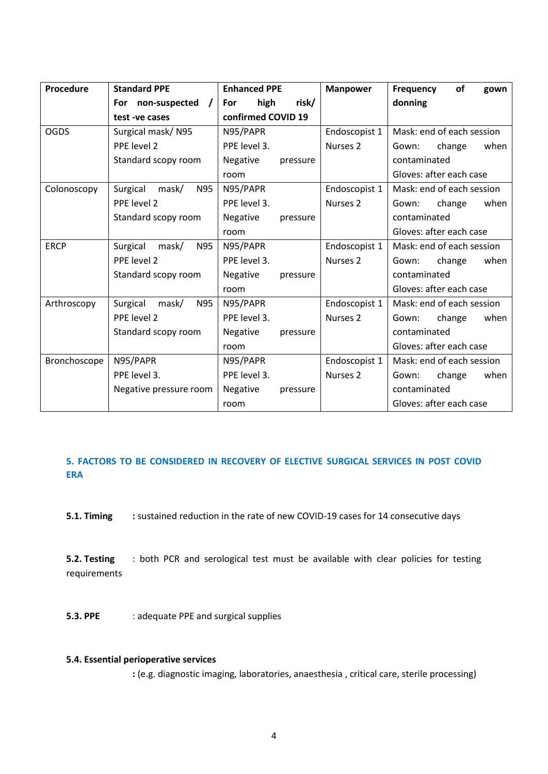| Procedure    | <b>Standard PPE</b>             | <b>Enhanced PPE</b>  | <b>Manpower</b>     | of<br><b>Frequency</b><br>gown |
|--------------|---------------------------------|----------------------|---------------------|--------------------------------|
|              | non-suspected /<br><b>For</b>   | risk/<br>high<br>For |                     | donning                        |
|              | test-ve cases                   | confirmed COVID 19   |                     |                                |
| <b>OGDS</b>  | Surgical mask/N95               | N95/PAPR             | Endoscopist 1       | Mask: end of each session      |
|              | PPE level 2                     | PPE level 3.         | Nurses <sub>2</sub> | change<br>when<br>Gown:        |
|              | Standard scopy room             | Negative<br>pressure |                     | contaminated                   |
|              |                                 | room                 |                     | Gloves: after each case        |
| Colonoscopy  | Surgical<br><b>N95</b><br>mask/ | N95/PAPR             | Endoscopist 1       | Mask: end of each session      |
|              | PPE level 2                     | PPE level 3.         | Nurses <sub>2</sub> | change<br>when<br>Gown:        |
|              | Standard scopy room             | Negative<br>pressure |                     | contaminated                   |
|              |                                 | room                 |                     | Gloves: after each case        |
| <b>ERCP</b>  | Surgical<br>mask/<br>N95        | N95/PAPR             | Endoscopist 1       | Mask: end of each session      |
|              | PPE level 2                     | PPE level 3.         | Nurses <sub>2</sub> | change<br>when<br>Gown:        |
|              | Standard scopy room             | Negative<br>pressure |                     | contaminated                   |
|              |                                 | room                 |                     | Gloves: after each case        |
| Arthroscopy  | Surgical<br><b>N95</b><br>mask/ | N95/PAPR             | Endoscopist 1       | Mask: end of each session      |
|              | PPE level 2                     | PPE level 3.         | Nurses <sub>2</sub> | change<br>when<br>Gown:        |
|              | Standard scopy room             | Negative<br>pressure |                     | contaminated                   |
|              |                                 | room                 |                     | Gloves: after each case        |
| Bronchoscope | N95/PAPR                        | N95/PAPR             | Endoscopist 1       | Mask: end of each session      |
|              | PPE level 3.                    | PPE level 3.         | Nurses <sub>2</sub> | change<br>when<br>Gown:        |
|              | Negative pressure room          | Negative<br>pressure |                     | contaminated                   |
|              |                                 | room                 |                     | Gloves: after each case        |

#### **5. FACTORS TO BE CONSIDERED IN RECOVERY OF ELECTIVE SURGICAL SERVICES IN POST COVID ERA**

**5.1. Timing** : sustained reduction in the rate of new COVID-19 cases for 14 consecutive days

**5.2. Testing** : both PCR and serological test must be available with clear policies for testing requirements

**5.3. PPE** : adequate PPE and surgical supplies

#### **5.4. Essential perioperative services**

**:** (e.g. diagnostic imaging, laboratories, anaesthesia , critical care, sterile processing)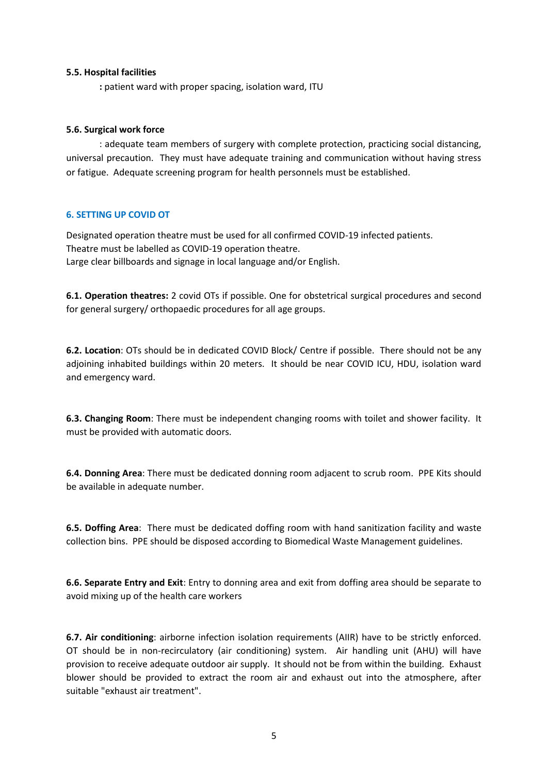#### **5.5. Hospital facilities**

**:** patient ward with proper spacing, isolation ward, ITU

#### **5.6. Surgical work force**

: adequate team members of surgery with complete protection, practicing social distancing, universal precaution. They must have adequate training and communication without having stress or fatigue. Adequate screening program for health personnels must be established.

#### **6. SETTING UP COVID OT**

Designated operation theatre must be used for all confirmed COVID-19 infected patients. Theatre must be labelled as COVID-19 operation theatre. Large clear billboards and signage in local language and/or English.

**6.1. Operation theatres:** 2 covid OTs if possible. One for obstetrical surgical procedures and second for general surgery/ orthopaedic procedures for all age groups.

**6.2. Location**: OTs should be in dedicated COVID Block/ Centre if possible. There should not be any adjoining inhabited buildings within 20 meters. It should be near COVID ICU, HDU, isolation ward and emergency ward.

**6.3. Changing Room**: There must be independent changing rooms with toilet and shower facility. It must be provided with automatic doors.

**6.4. Donning Area**: There must be dedicated donning room adjacent to scrub room. PPE Kits should be available in adequate number.

**6.5. Doffing Area**: There must be dedicated doffing room with hand sanitization facility and waste collection bins. PPE should be disposed according to Biomedical Waste Management guidelines.

**6.6. Separate Entry and Exit**: Entry to donning area and exit from doffing area should be separate to avoid mixing up of the health care workers

**6.7. Air conditioning**: airborne infection isolation requirements (AIIR) have to be strictly enforced. OT should be in non-recirculatory (air conditioning) system. Air handling unit (AHU) will have provision to receive adequate outdoor air supply. It should not be from within the building. Exhaust blower should be provided to extract the room air and exhaust out into the atmosphere, after suitable "exhaust air treatment".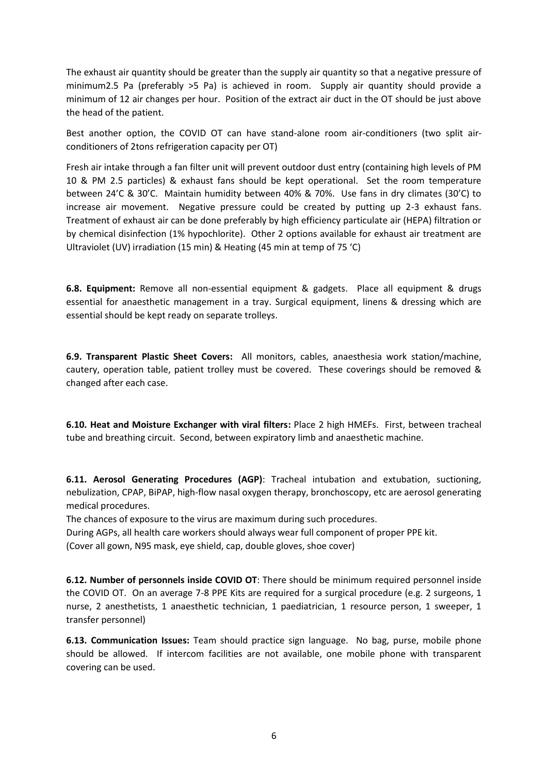The exhaust air quantity should be greater than the supply air quantity so that a negative pressure of minimum2.5 Pa (preferably >5 Pa) is achieved in room. Supply air quantity should provide a minimum of 12 air changes per hour. Position of the extract air duct in the OT should be just above the head of the patient.

Best another option, the COVID OT can have stand-alone room air-conditioners (two split airconditioners of 2tons refrigeration capacity per OT)

Fresh air intake through a fan filter unit will prevent outdoor dust entry (containing high levels of PM 10 & PM 2.5 particles) & exhaust fans should be kept operational. Set the room temperature between 24'C & 30'C. Maintain humidity between 40% & 70%. Use fans in dry climates (30'C) to increase air movement. Negative pressure could be created by putting up 2-3 exhaust fans. Treatment of exhaust air can be done preferably by high efficiency particulate air (HEPA) filtration or by chemical disinfection (1% hypochlorite). Other 2 options available for exhaust air treatment are Ultraviolet (UV) irradiation (15 min) & Heating (45 min at temp of 75 'C)

**6.8. Equipment:** Remove all non-essential equipment & gadgets. Place all equipment & drugs essential for anaesthetic management in a tray. Surgical equipment, linens & dressing which are essential should be kept ready on separate trolleys.

**6.9. Transparent Plastic Sheet Covers:** All monitors, cables, anaesthesia work station/machine, cautery, operation table, patient trolley must be covered. These coverings should be removed & changed after each case.

**6.10. Heat and Moisture Exchanger with viral filters:** Place 2 high HMEFs. First, between tracheal tube and breathing circuit. Second, between expiratory limb and anaesthetic machine.

**6.11. Aerosol Generating Procedures (AGP)**: Tracheal intubation and extubation, suctioning, nebulization, CPAP, BiPAP, high-flow nasal oxygen therapy, bronchoscopy, etc are aerosol generating medical procedures.

The chances of exposure to the virus are maximum during such procedures.

During AGPs, all health care workers should always wear full component of proper PPE kit.

(Cover all gown, N95 mask, eye shield, cap, double gloves, shoe cover)

**6.12. Number of personnels inside COVID OT**: There should be minimum required personnel inside the COVID OT. On an average 7-8 PPE Kits are required for a surgical procedure (e.g. 2 surgeons, 1 nurse, 2 anesthetists, 1 anaesthetic technician, 1 paediatrician, 1 resource person, 1 sweeper, 1 transfer personnel)

**6.13. Communication Issues:** Team should practice sign language. No bag, purse, mobile phone should be allowed. If intercom facilities are not available, one mobile phone with transparent covering can be used.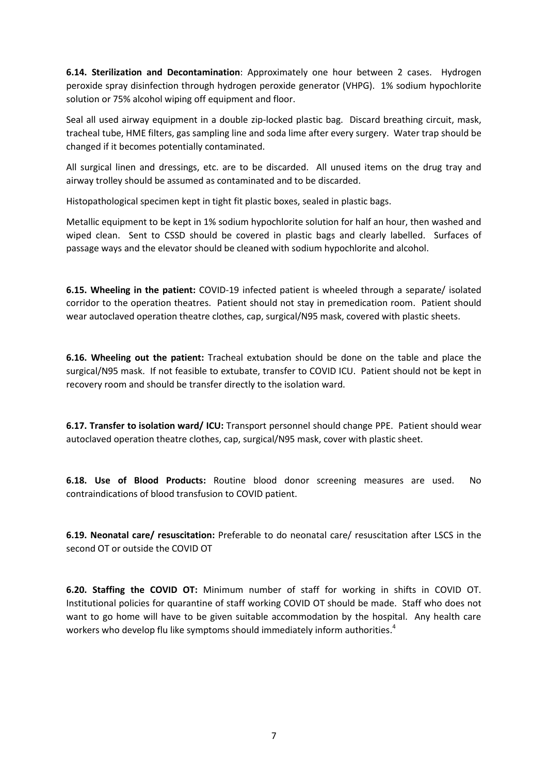**6.14. Sterilization and Decontamination**: Approximately one hour between 2 cases. Hydrogen peroxide spray disinfection through hydrogen peroxide generator (VHPG). 1% sodium hypochlorite solution or 75% alcohol wiping off equipment and floor.

Seal all used airway equipment in a double zip-locked plastic bag. Discard breathing circuit, mask, tracheal tube, HME filters, gas sampling line and soda lime after every surgery. Water trap should be changed if it becomes potentially contaminated.

All surgical linen and dressings, etc. are to be discarded. All unused items on the drug tray and airway trolley should be assumed as contaminated and to be discarded.

Histopathological specimen kept in tight fit plastic boxes, sealed in plastic bags.

Metallic equipment to be kept in 1% sodium hypochlorite solution for half an hour, then washed and wiped clean. Sent to CSSD should be covered in plastic bags and clearly labelled. Surfaces of passage ways and the elevator should be cleaned with sodium hypochlorite and alcohol.

**6.15. Wheeling in the patient:** COVID-19 infected patient is wheeled through a separate/ isolated corridor to the operation theatres. Patient should not stay in premedication room. Patient should wear autoclaved operation theatre clothes, cap, surgical/N95 mask, covered with plastic sheets.

**6.16. Wheeling out the patient:** Tracheal extubation should be done on the table and place the surgical/N95 mask. If not feasible to extubate, transfer to COVID ICU. Patient should not be kept in recovery room and should be transfer directly to the isolation ward.

**6.17. Transfer to isolation ward/ ICU:** Transport personnel should change PPE. Patient should wear autoclaved operation theatre clothes, cap, surgical/N95 mask, cover with plastic sheet.

**6.18. Use of Blood Products:** Routine blood donor screening measures are used. No contraindications of blood transfusion to COVID patient.

**6.19. Neonatal care/ resuscitation:** Preferable to do neonatal care/ resuscitation after LSCS in the second OT or outside the COVID OT

**6.20. Staffing the COVID OT:** Minimum number of staff for working in shifts in COVID OT. Institutional policies for quarantine of staff working COVID OT should be made. Staff who does not want to go home will have to be given suitable accommodation by the hospital. Any health care workers who develop flu like symptoms should immediately inform authorities.<sup>4</sup>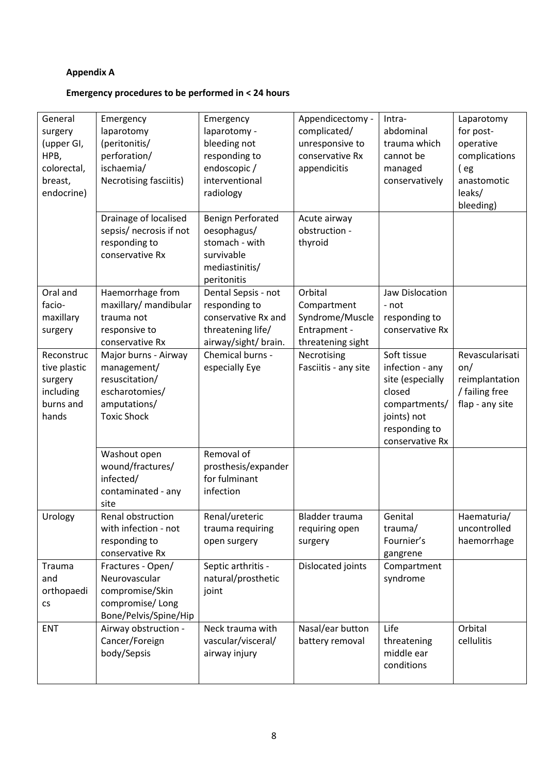## **Appendix A**

## **Emergency procedures to be performed in < 24 hours**

| General<br>surgery<br>(upper GI,<br>HPB,<br>colorectal,<br>breast,<br>endocrine) | Emergency<br>laparotomy<br>(peritonitis/<br>perforation/<br>ischaemia/<br>Necrotising fasciitis)<br>Drainage of localised | Emergency<br>laparotomy -<br>bleeding not<br>responding to<br>endoscopic/<br>interventional<br>radiology<br><b>Benign Perforated</b> | Appendicectomy -<br>complicated/<br>unresponsive to<br>conservative Rx<br>appendicitis<br>Acute airway | Intra-<br>abdominal<br>trauma which<br>cannot be<br>managed<br>conservatively                                                    | Laparotomy<br>for post-<br>operative<br>complications<br>(eg<br>anastomotic<br>leaks/<br>bleeding) |
|----------------------------------------------------------------------------------|---------------------------------------------------------------------------------------------------------------------------|--------------------------------------------------------------------------------------------------------------------------------------|--------------------------------------------------------------------------------------------------------|----------------------------------------------------------------------------------------------------------------------------------|----------------------------------------------------------------------------------------------------|
|                                                                                  | sepsis/ necrosis if not<br>responding to<br>conservative Rx                                                               | oesophagus/<br>stomach - with<br>survivable<br>mediastinitis/<br>peritonitis                                                         | obstruction -<br>thyroid                                                                               |                                                                                                                                  |                                                                                                    |
| Oral and<br>facio-<br>maxillary<br>surgery                                       | Haemorrhage from<br>maxillary/ mandibular<br>trauma not<br>responsive to<br>conservative Rx                               | Dental Sepsis - not<br>responding to<br>conservative Rx and<br>threatening life/<br>airway/sight/ brain.                             | Orbital<br>Compartment<br>Syndrome/Muscle<br>Entrapment -<br>threatening sight                         | Jaw Dislocation<br>- not<br>responding to<br>conservative Rx                                                                     |                                                                                                    |
| Reconstruc<br>tive plastic<br>surgery<br>including<br>burns and<br>hands         | Major burns - Airway<br>management/<br>resuscitation/<br>escharotomies/<br>amputations/<br><b>Toxic Shock</b>             | Chemical burns -<br>especially Eye                                                                                                   | Necrotising<br>Fasciitis - any site                                                                    | Soft tissue<br>infection - any<br>site (especially<br>closed<br>compartments/<br>joints) not<br>responding to<br>conservative Rx | Revascularisati<br>on/<br>reimplantation<br>/ failing free<br>flap - any site                      |
|                                                                                  | Washout open<br>wound/fractures/<br>infected/<br>contaminated - any<br>site                                               | Removal of<br>prosthesis/expander<br>for fulminant<br>infection                                                                      |                                                                                                        |                                                                                                                                  |                                                                                                    |
| Urology                                                                          | Renal obstruction<br>with infection - not<br>responding to<br>conservative Rx                                             | Renal/ureteric<br>trauma requiring<br>open surgery                                                                                   | Bladder trauma<br>requiring open<br>surgery                                                            | Genital<br>trauma/<br>Fournier's<br>gangrene                                                                                     | Haematuria/<br>uncontrolled<br>haemorrhage                                                         |
| Trauma<br>and<br>orthopaedi<br>$\mathsf{CS}\xspace$                              | Fractures - Open/<br>Neurovascular<br>compromise/Skin<br>compromise/Long<br>Bone/Pelvis/Spine/Hip                         | Septic arthritis -<br>natural/prosthetic<br>joint                                                                                    | Dislocated joints                                                                                      | Compartment<br>syndrome                                                                                                          |                                                                                                    |
| <b>ENT</b>                                                                       | Airway obstruction -<br>Cancer/Foreign<br>body/Sepsis                                                                     | Neck trauma with<br>vascular/visceral/<br>airway injury                                                                              | Nasal/ear button<br>battery removal                                                                    | Life<br>threatening<br>middle ear<br>conditions                                                                                  | Orbital<br>cellulitis                                                                              |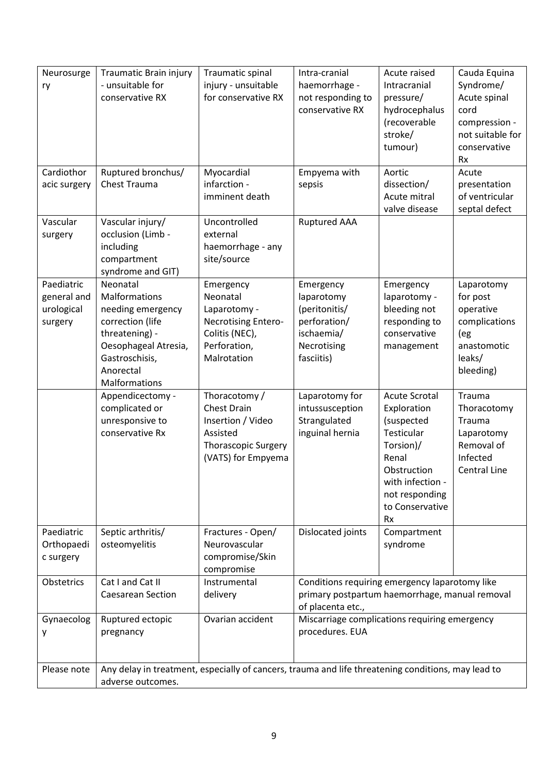| Neurosurge   | Traumatic Brain injury                                                                                                  | Traumatic spinal               | Intra-cranial                                  | Acute raised                  | Cauda Equina       |
|--------------|-------------------------------------------------------------------------------------------------------------------------|--------------------------------|------------------------------------------------|-------------------------------|--------------------|
| ry           | - unsuitable for                                                                                                        | injury - unsuitable            | haemorrhage -                                  | Intracranial                  | Syndrome/          |
|              | conservative RX                                                                                                         | for conservative RX            | not responding to                              | pressure/                     | Acute spinal       |
|              |                                                                                                                         |                                | conservative RX                                | hydrocephalus                 | cord               |
|              |                                                                                                                         |                                |                                                | (recoverable                  | compression -      |
|              |                                                                                                                         |                                |                                                | stroke/                       | not suitable for   |
|              |                                                                                                                         |                                |                                                | tumour)                       | conservative       |
|              |                                                                                                                         |                                |                                                |                               | <b>Rx</b>          |
| Cardiothor   | Ruptured bronchus/                                                                                                      | Myocardial                     | Empyema with                                   | Aortic                        | Acute              |
| acic surgery | Chest Trauma                                                                                                            | infarction -                   | sepsis                                         | dissection/                   | presentation       |
|              |                                                                                                                         | imminent death                 |                                                | Acute mitral                  | of ventricular     |
|              |                                                                                                                         |                                |                                                | valve disease                 | septal defect      |
| Vascular     | Vascular injury/                                                                                                        | Uncontrolled                   | <b>Ruptured AAA</b>                            |                               |                    |
| surgery      | occlusion (Limb -                                                                                                       | external                       |                                                |                               |                    |
|              | including                                                                                                               | haemorrhage - any              |                                                |                               |                    |
|              | compartment                                                                                                             | site/source                    |                                                |                               |                    |
|              | syndrome and GIT)                                                                                                       |                                |                                                |                               |                    |
| Paediatric   | Neonatal                                                                                                                | Emergency                      | Emergency                                      | Emergency                     | Laparotomy         |
| general and  | Malformations                                                                                                           | Neonatal                       | laparotomy                                     | laparotomy -                  | for post           |
| urological   | needing emergency                                                                                                       | Laparotomy -                   | (peritonitis/                                  | bleeding not                  | operative          |
| surgery      | correction (life                                                                                                        | Necrotising Entero-            | perforation/                                   | responding to<br>conservative | complications      |
|              | threatening) -<br>Oesophageal Atresia,                                                                                  | Colitis (NEC),<br>Perforation, | ischaemia/<br>Necrotising                      |                               | (eg<br>anastomotic |
|              | Gastroschisis,                                                                                                          | Malrotation                    | fasciitis)                                     | management                    | leaks/             |
|              | Anorectal                                                                                                               |                                |                                                |                               | bleeding)          |
|              | Malformations                                                                                                           |                                |                                                |                               |                    |
|              | Appendicectomy -                                                                                                        | Thoracotomy /                  | Laparotomy for                                 | <b>Acute Scrotal</b>          | Trauma             |
|              | complicated or                                                                                                          | <b>Chest Drain</b>             | intussusception                                | Exploration                   | Thoracotomy        |
|              | unresponsive to                                                                                                         | Insertion / Video              | Strangulated                                   | (suspected                    | Trauma             |
|              | conservative Rx                                                                                                         | Assisted                       | inguinal hernia                                | Testicular                    | Laparotomy         |
|              |                                                                                                                         | <b>Thorascopic Surgery</b>     |                                                | Torsion)/                     | Removal of         |
|              |                                                                                                                         | (VATS) for Empyema             |                                                | Renal                         | Infected           |
|              |                                                                                                                         |                                |                                                | Obstruction                   | Central Line       |
|              |                                                                                                                         |                                |                                                | with infection -              |                    |
|              |                                                                                                                         |                                |                                                | not responding                |                    |
|              |                                                                                                                         |                                |                                                | to Conservative               |                    |
|              |                                                                                                                         |                                |                                                | <b>Rx</b>                     |                    |
| Paediatric   | Septic arthritis/                                                                                                       | Fractures - Open/              | Dislocated joints                              | Compartment                   |                    |
| Orthopaedi   | osteomyelitis                                                                                                           | Neurovascular                  |                                                | syndrome                      |                    |
| c surgery    |                                                                                                                         | compromise/Skin                |                                                |                               |                    |
|              |                                                                                                                         | compromise                     |                                                |                               |                    |
| Obstetrics   | Cat I and Cat II                                                                                                        | Instrumental                   | Conditions requiring emergency laparotomy like |                               |                    |
|              | <b>Caesarean Section</b>                                                                                                | delivery                       | primary postpartum haemorrhage, manual removal |                               |                    |
|              |                                                                                                                         |                                | of placenta etc.,                              |                               |                    |
| Gynaecolog   | Ruptured ectopic                                                                                                        | Ovarian accident               | Miscarriage complications requiring emergency  |                               |                    |
| у            | pregnancy                                                                                                               |                                | procedures. EUA                                |                               |                    |
|              |                                                                                                                         |                                |                                                |                               |                    |
| Please note  |                                                                                                                         |                                |                                                |                               |                    |
|              | Any delay in treatment, especially of cancers, trauma and life threatening conditions, may lead to<br>adverse outcomes. |                                |                                                |                               |                    |
|              |                                                                                                                         |                                |                                                |                               |                    |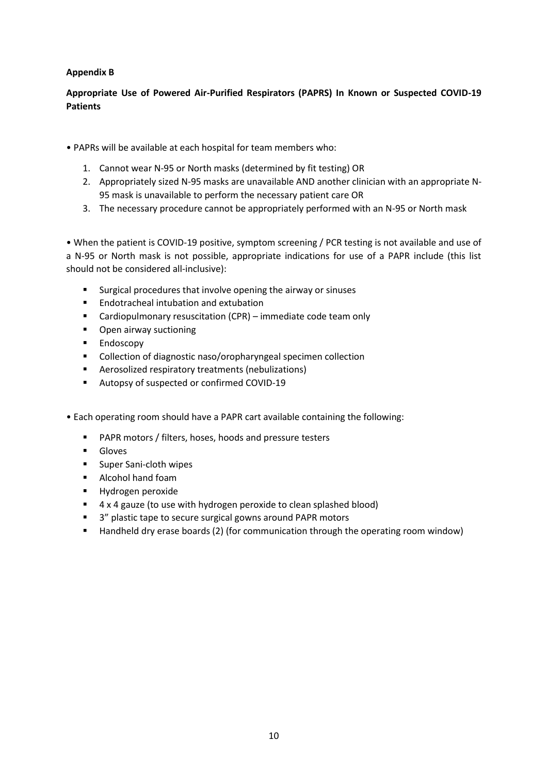#### **Appendix B**

#### **Appropriate Use of Powered Air-Purified Respirators (PAPRS) In Known or Suspected COVID-19 Patients**

- PAPRs will be available at each hospital for team members who:
	- 1. Cannot wear N-95 or North masks (determined by fit testing) OR
	- 2. Appropriately sized N-95 masks are unavailable AND another clinician with an appropriate N-95 mask is unavailable to perform the necessary patient care OR
	- 3. The necessary procedure cannot be appropriately performed with an N-95 or North mask

• When the patient is COVID-19 positive, symptom screening / PCR testing is not available and use of a N-95 or North mask is not possible, appropriate indications for use of a PAPR include (this list should not be considered all-inclusive):

- Surgical procedures that involve opening the airway or sinuses
- **Endotracheal intubation and extubation**
- Cardiopulmonary resuscitation (CPR) immediate code team only
- **•** Open airway suctioning
- **Endoscopy**
- **EXECOLLECTION OF COLLECTION** Collection **Collection**
- Aerosolized respiratory treatments (nebulizations)
- Autopsy of suspected or confirmed COVID-19
- Each operating room should have a PAPR cart available containing the following:
	- PAPR motors / filters, hoses, hoods and pressure testers
	- **Gloves**
	- **Super Sani-cloth wipes**
	- **Alcohol hand foam**
	- **Hydrogen peroxide**
	- 4 x 4 gauze (to use with hydrogen peroxide to clean splashed blood)
	- 3" plastic tape to secure surgical gowns around PAPR motors
	- **Handheld dry erase boards (2) (for communication through the operating room window)**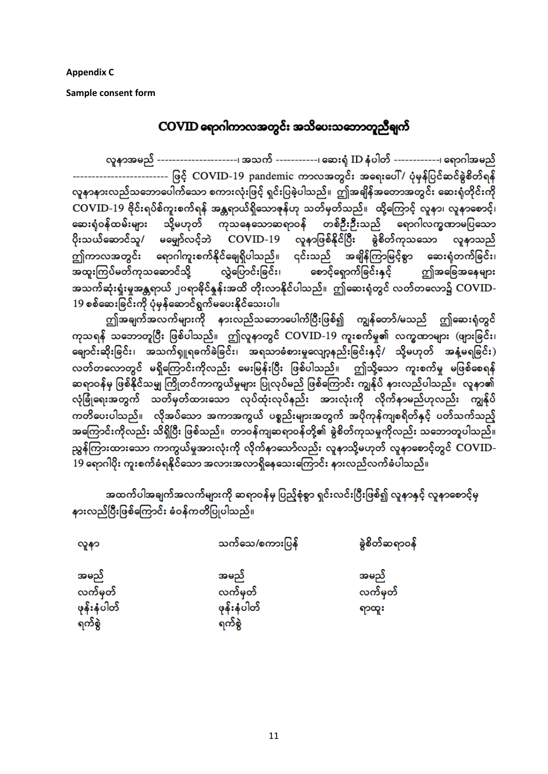**Appendix C**

**Sample consent form** 

## COVID ရောဂါကာလအတွင်း အသိပေးသဘောတူညီချက်

လူနာအမည် ---------------------၊ အသက် -----------၊ ဆေးရံ ID နံပါတ် ------------၊ ရောဂါအမည် -------------------------- ဖြင့် COVID-19 pandemic ကာလအတွင်း အရေးပေါ် / ပုံမှန်ပြင်ဆင်ခွဲစိတ်ရန် လူနာနားလည်သဘောပေါက်သော စကားလုံးဖြင့် ရှင်းပြခဲ့ပါသည်။ ဤအချိန်အတောအတွင်း ဆေးရုံတိုင်းကို COVID-19 ဗိုင်းရပ်ိစ်ကူးစက်ရန် အန္တရာယ်ရှိသောဇုန်ဟု သတ်မှတ်သည်။ ထို့ကြောင့် လူနာ၊ လူနာစောင့်၊ ဆေးရုံဝန်ထမ်းများ သို့မဟုတ် ကုသနေသောဆရာဝန် တစ်ဦးဦးသည် ရောဂါလက္ခဏာမပြသော ပိုးသယ်ဆောင်သူ/ မမျှော်လင့်ဘဲ COVID-19 လူနာဖြစ်နိုင်ပြီး ခွဲစိတ်ကုသသော လူနာသည် ဤကာလအတွင်း ရောဂါကူးစက်နိုင်ချေရှိပါသည်။ ၎င်းသည် အချိန်ကြာမြင့်စွာ ဆေးရုံတက်ခြင်း၊ အသက်ဆုံးရှုံးမှုအန္တရာယ် ၂၀ရာခိုင်နှုန်းအထိ တိုးလာနိုင်ပါသည်။ ဤဆေးရုံတွင် လတ်တလော၌  $\overline{\rm COVID}$ -19 စစ်ဆေးခြင်းကို ပုံမှန်ဆောင်ရွက်မပေးနိုင်သေးပါ။

ဤအချက်အလက်များကို နားလည်သဘောပေါက်ပြီးဖြစ်၍ ကျွန်တော်/မသည် ဤဆေးရုံတွင် .<br>ကုသရနိ သဘောတူပြီး ဖြစ်ပါသည်။ ဤလူနာတွင် COVID-19 ကူးစက်မှု၏ လက္ခဏာများ (ဖျားခြင်း၊ ရောင်းဆိုးခြင်း၊ အသက်ရှူရစက်စဲခြင်း၊ အရသာခံစားမှုလျော့နည်းခြင်းနှင့်/ သို့မဟုတ် အနံ့မရခြင်း) လတ်တလောတွင် မရှိကြောင်းကိုလည်း မေးမြန်းပြီး ဖြစ်ပါသည်။ ဤသို့သော ကူးစက်မှု မဖြစ်စေရန် ဆရာဝန်မှ ဖြစ်နိုင်သမျှ ကြိုတင်ကာကွယ်မှုများ ပြုလုပ်မည် ဖြစ်ကြောင်း ကျွန်ုပ် နားလည်ပါသည်။ လူနာ၏ လုံခြုံရေးအတွက် သတ်မှတ်ထားသော လုပ်ထုံးလုပ်နည်း အားလုံးကို လိုက်နာမည်ဟုလည်း ကျွန်ုပ် ကတိပေးပါသည်။ လိုအပ်သော အကာအကွယ် ပစ္စည်းများအတွက် အပိုကုန်ကျစရိတ်နှင့် ပတ်သက်သည့် အကြောင်းကိုလည်း သိရှိပြီး ဖြစ်သည်။ တာဝန်ကျဆရာဝန်တို့၏ နွဲစိတ်ကုသမှုကိုလည်း သဘောတူပါသည်။ ညွှန်ကြားထားသော ကာကွယ်မှုအားလုံးကို လိုက်နာသော်လည်း လူနာသို့မဟုတ် လူနာစောင့်တွင် COVID-

အထက်ပါအချက်အလက်များကို ဆရာဝန်မှ ပြည့်စုံစွာ ရှင်းလင်းပြီးဖြစ်၍ လူနာနှင့် လူနာစောင့်မှ နားလည်ပြီးဖြစ်ကြောင်း ခံဝန်ကတိပြုပါသည်။

| လူနာ                                     | သက်သေ/စကားပြန်                           | နဲ့စိတ်ဆရာဝန်            |
|------------------------------------------|------------------------------------------|--------------------------|
| အမည်<br>လက်မှတ်<br>ဖုန်းနံပါတ်<br>ရက်စွဲ | အမည်<br>လက်မှတ်<br>ဖုန်းနံပါတ်<br>ရက်စွဲ | အမည်<br>လက်မှတ်<br>ရာထူး |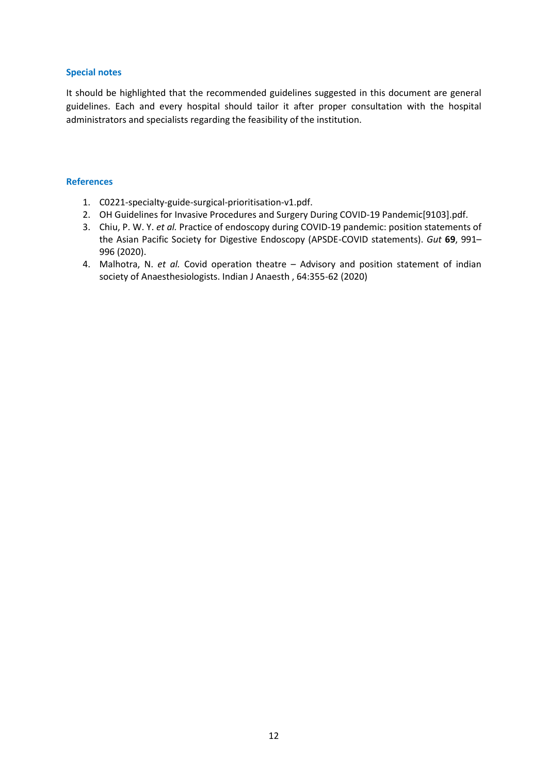#### **Special notes**

It should be highlighted that the recommended guidelines suggested in this document are general guidelines. Each and every hospital should tailor it after proper consultation with the hospital administrators and specialists regarding the feasibility of the institution.

#### **References**

- 1. C0221-specialty-guide-surgical-prioritisation-v1.pdf.
- 2. OH Guidelines for Invasive Procedures and Surgery During COVID-19 Pandemic[9103].pdf.
- 3. Chiu, P. W. Y. *et al.* Practice of endoscopy during COVID-19 pandemic: position statements of the Asian Pacific Society for Digestive Endoscopy (APSDE-COVID statements). *Gut* **69**, 991– 996 (2020).
- 4. Malhotra, N. *et al.* Covid operation theatre Advisory and position statement of indian society of Anaesthesiologists. Indian J Anaesth , 64:355-62 (2020)